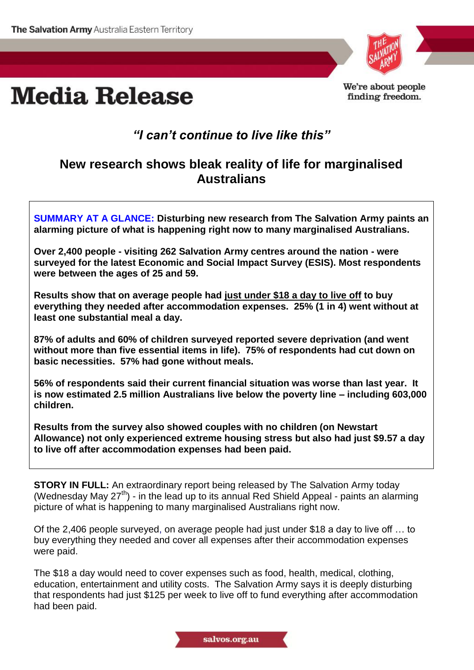



We're about people finding freedom.

## *"I can't continue to live like this"*

## **New research shows bleak reality of life for marginalised Australians**

**SUMMARY AT A GLANCE: Disturbing new research from The Salvation Army paints an alarming picture of what is happening right now to many marginalised Australians.**

**Over 2,400 people - visiting 262 Salvation Army centres around the nation - were surveyed for the latest Economic and Social Impact Survey (ESIS). Most respondents were between the ages of 25 and 59.**

**Results show that on average people had just under \$18 a day to live off to buy everything they needed after accommodation expenses. 25% (1 in 4) went without at least one substantial meal a day.**

**87% of adults and 60% of children surveyed reported severe deprivation (and went without more than five essential items in life). 75% of respondents had cut down on basic necessities. 57% had gone without meals.** 

**56% of respondents said their current financial situation was worse than last year. It is now estimated 2.5 million Australians live below the poverty line – including 603,000 children.** 

**Results from the survey also showed couples with no children (on Newstart Allowance) not only experienced extreme housing stress but also had just \$9.57 a day to live off after accommodation expenses had been paid.**

**STORY IN FULL:** An extraordinary report being released by The Salvation Army today (Wednesday May  $27<sup>th</sup>$ ) - in the lead up to its annual Red Shield Appeal - paints an alarming picture of what is happening to many marginalised Australians right now.

Of the 2,406 people surveyed, on average people had just under \$18 a day to live off … to buy everything they needed and cover all expenses after their accommodation expenses were paid.

The \$18 a day would need to cover expenses such as food, health, medical, clothing, education, entertainment and utility costs. The Salvation Army says it is deeply disturbing that respondents had just \$125 per week to live off to fund everything after accommodation had been paid.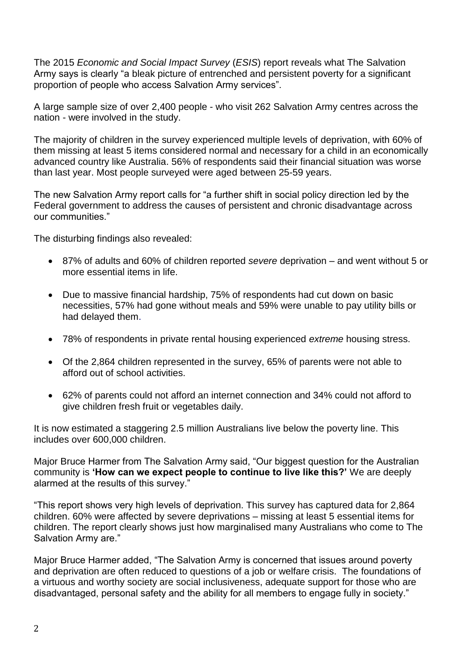The 2015 *Economic and Social Impact Survey* (*ESIS*) report reveals what The Salvation Army says is clearly "a bleak picture of entrenched and persistent poverty for a significant proportion of people who access Salvation Army services".

A large sample size of over 2,400 people - who visit 262 Salvation Army centres across the nation - were involved in the study.

The majority of children in the survey experienced multiple levels of deprivation, with 60% of them missing at least 5 items considered normal and necessary for a child in an economically advanced country like Australia. 56% of respondents said their financial situation was worse than last year. Most people surveyed were aged between 25-59 years.

The new Salvation Army report calls for "a further shift in social policy direction led by the Federal government to address the causes of persistent and chronic disadvantage across our communities."

The disturbing findings also revealed:

- 87% of adults and 60% of children reported *severe* deprivation and went without 5 or more essential items in life.
- Due to massive financial hardship, 75% of respondents had cut down on basic necessities, 57% had gone without meals and 59% were unable to pay utility bills or had delayed them.
- 78% of respondents in private rental housing experienced *extreme* housing stress.
- Of the 2,864 children represented in the survey, 65% of parents were not able to afford out of school activities.
- 62% of parents could not afford an internet connection and 34% could not afford to give children fresh fruit or vegetables daily.

It is now estimated a staggering 2.5 million Australians live below the poverty line. This includes over 600,000 children.

Major Bruce Harmer from The Salvation Army said, "Our biggest question for the Australian community is **'How can we expect people to continue to live like this?'** We are deeply alarmed at the results of this survey."

"This report shows very high levels of deprivation. This survey has captured data for 2,864 children. 60% were affected by severe deprivations – missing at least 5 essential items for children. The report clearly shows just how marginalised many Australians who come to The Salvation Army are."

Major Bruce Harmer added, "The Salvation Army is concerned that issues around poverty and deprivation are often reduced to questions of a job or welfare crisis. The foundations of a virtuous and worthy society are social inclusiveness, adequate support for those who are disadvantaged, personal safety and the ability for all members to engage fully in society."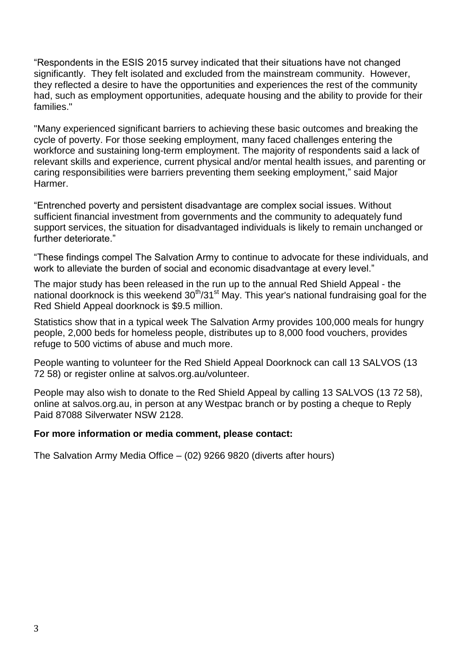"Respondents in the ESIS 2015 survey indicated that their situations have not changed significantly. They felt isolated and excluded from the mainstream community. However, they reflected a desire to have the opportunities and experiences the rest of the community had, such as employment opportunities, adequate housing and the ability to provide for their families."

"Many experienced significant barriers to achieving these basic outcomes and breaking the cycle of poverty. For those seeking employment, many faced challenges entering the workforce and sustaining long-term employment. The majority of respondents said a lack of relevant skills and experience, current physical and/or mental health issues, and parenting or caring responsibilities were barriers preventing them seeking employment," said Major Harmer.

"Entrenched poverty and persistent disadvantage are complex social issues. Without sufficient financial investment from governments and the community to adequately fund support services, the situation for disadvantaged individuals is likely to remain unchanged or further deteriorate."

"These findings compel The Salvation Army to continue to advocate for these individuals, and work to alleviate the burden of social and economic disadvantage at every level."

The major study has been released in the run up to the annual Red Shield Appeal - the national doorknock is this weekend  $30<sup>th</sup>/31<sup>st</sup>$  May. This year's national fundraising goal for the Red Shield Appeal doorknock is \$9.5 million.

Statistics show that in a typical week The Salvation Army provides 100,000 meals for hungry people, 2,000 beds for homeless people, distributes up to 8,000 food vouchers, provides refuge to 500 victims of abuse and much more.

People wanting to volunteer for the Red Shield Appeal Doorknock can call 13 SALVOS (13 72 58) or register online at salvos.org.au/volunteer.

People may also wish to donate to the Red Shield Appeal by calling 13 SALVOS (13 72 58), online at salvos.org.au, in person at any Westpac branch or by posting a cheque to Reply Paid 87088 Silverwater NSW 2128.

## **For more information or media comment, please contact:**

The Salvation Army Media Office – (02) 9266 9820 (diverts after hours)